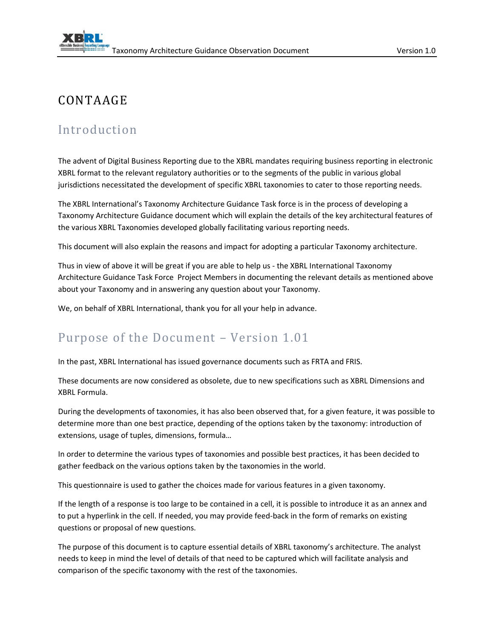## CONTAAGE

## Introduction

The advent of Digital Business Reporting due to the XBRL mandates requiring business reporting in electronic XBRL format to the relevant regulatory authorities or to the segments of the public in various global jurisdictions necessitated the development of specific XBRL taxonomies to cater to those reporting needs.

The XBRL International's Taxonomy Architecture Guidance Task force is in the process of developing a Taxonomy Architecture Guidance document which will explain the details of the key architectural features of the various XBRL Taxonomies developed globally facilitating various reporting needs.

This document will also explain the reasons and impact for adopting a particular Taxonomy architecture.

Thus in view of above it will be great if you are able to help us - the XBRL International Taxonomy Architecture Guidance Task Force Project Members in documenting the relevant details as mentioned above about your Taxonomy and in answering any question about your Taxonomy.

We, on behalf of XBRL International, thank you for all your help in advance.

### Purpose of the Document – Version 1.01

In the past, XBRL International has issued governance documents such as FRTA and FRIS.

These documents are now considered as obsolete, due to new specifications such as XBRL Dimensions and XBRL Formula.

During the developments of taxonomies, it has also been observed that, for a given feature, it was possible to determine more than one best practice, depending of the options taken by the taxonomy: introduction of extensions, usage of tuples, dimensions, formula…

In order to determine the various types of taxonomies and possible best practices, it has been decided to gather feedback on the various options taken by the taxonomies in the world.

This questionnaire is used to gather the choices made for various features in a given taxonomy.

If the length of a response is too large to be contained in a cell, it is possible to introduce it as an annex and to put a hyperlink in the cell. If needed, you may provide feed-back in the form of remarks on existing questions or proposal of new questions.

The purpose of this document is to capture essential details of XBRL taxonomy's architecture. The analyst needs to keep in mind the level of details of that need to be captured which will facilitate analysis and comparison of the specific taxonomy with the rest of the taxonomies.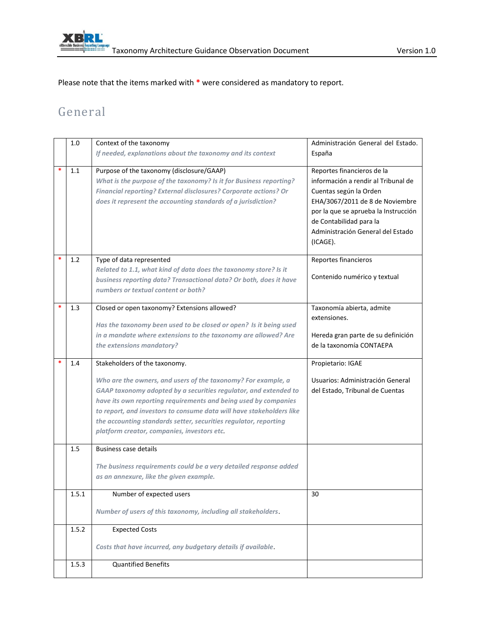

Please note that the items marked with **\*** were considered as mandatory to report.

## General

|   | 1.0   | Context of the taxonomy                                              | Administración General del Estado.                             |
|---|-------|----------------------------------------------------------------------|----------------------------------------------------------------|
|   |       | If needed, explanations about the taxonomy and its context           | España                                                         |
|   |       |                                                                      |                                                                |
| * | 1.1   | Purpose of the taxonomy (disclosure/GAAP)                            | Reportes financieros de la                                     |
|   |       | What is the purpose of the taxonomy? Is it for Business reporting?   | información a rendir al Tribunal de                            |
|   |       | Financial reporting? External disclosures? Corporate actions? Or     | Cuentas según la Orden                                         |
|   |       | does it represent the accounting standards of a jurisdiction?        | EHA/3067/2011 de 8 de Noviembre                                |
|   |       |                                                                      | por la que se aprueba la Instrucción                           |
|   |       |                                                                      | de Contabilidad para la                                        |
|   |       |                                                                      | Administración General del Estado                              |
|   |       |                                                                      | (ICAGE).                                                       |
|   | 1.2   | Type of data represented                                             | Reportes financieros                                           |
|   |       | Related to 1.1, what kind of data does the taxonomy store? Is it     |                                                                |
|   |       | business reporting data? Transactional data? Or both, does it have   | Contenido numérico y textual                                   |
|   |       | numbers or textual content or both?                                  |                                                                |
|   |       |                                                                      |                                                                |
|   | 1.3   | Closed or open taxonomy? Extensions allowed?                         | Taxonomía abierta, admite                                      |
|   |       | Has the taxonomy been used to be closed or open? Is it being used    | extensiones.                                                   |
|   |       | in a mandate where extensions to the taxonomy are allowed? Are       |                                                                |
|   |       | the extensions mandatory?                                            | Hereda gran parte de su definición<br>de la taxonomía CONTAEPA |
|   |       |                                                                      |                                                                |
|   | 1.4   | Stakeholders of the taxonomy.                                        | Propietario: IGAE                                              |
|   |       | Who are the owners, and users of the taxonomy? For example, a        | Usuarios: Administración General                               |
|   |       | GAAP taxonomy adopted by a securities regulator, and extended to     | del Estado, Tribunal de Cuentas                                |
|   |       | have its own reporting requirements and being used by companies      |                                                                |
|   |       |                                                                      |                                                                |
|   |       |                                                                      |                                                                |
|   |       | to report, and investors to consume data will have stakeholders like |                                                                |
|   |       | the accounting standards setter, securities regulator, reporting     |                                                                |
|   |       | platform creator, companies, investors etc.                          |                                                                |
|   | 1.5   | Business case details                                                |                                                                |
|   |       |                                                                      |                                                                |
|   |       | The business requirements could be a very detailed response added    |                                                                |
|   |       | as an annexure, like the given example.                              |                                                                |
|   | 1.5.1 | Number of expected users                                             | 30                                                             |
|   |       | Number of users of this taxonomy, including all stakeholders.        |                                                                |
|   | 1.5.2 | <b>Expected Costs</b>                                                |                                                                |
|   |       | Costs that have incurred, any budgetary details if available.        |                                                                |
|   | 1.5.3 | <b>Quantified Benefits</b>                                           |                                                                |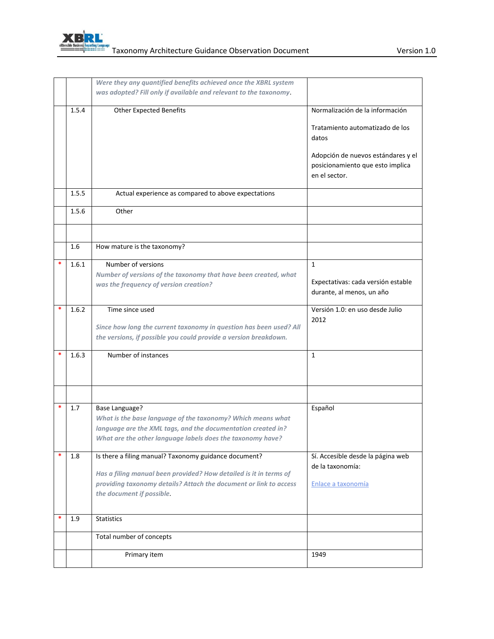

|   |       | Were they any quantified benefits achieved once the XBRL system<br>was adopted? Fill only if available and relevant to the taxonomy |                                                                                         |
|---|-------|-------------------------------------------------------------------------------------------------------------------------------------|-----------------------------------------------------------------------------------------|
|   |       |                                                                                                                                     |                                                                                         |
|   | 1.5.4 | <b>Other Expected Benefits</b>                                                                                                      | Normalización de la información                                                         |
|   |       |                                                                                                                                     | Tratamiento automatizado de los<br>datos                                                |
|   |       |                                                                                                                                     | Adopción de nuevos estándares y el<br>posicionamiento que esto implica<br>en el sector. |
|   | 1.5.5 | Actual experience as compared to above expectations                                                                                 |                                                                                         |
|   | 1.5.6 | Other                                                                                                                               |                                                                                         |
|   |       |                                                                                                                                     |                                                                                         |
|   | 1.6   | How mature is the taxonomy?                                                                                                         |                                                                                         |
|   | 1.6.1 | Number of versions                                                                                                                  | $\mathbf{1}$                                                                            |
|   |       | Number of versions of the taxonomy that have been created, what                                                                     | Expectativas: cada versión estable                                                      |
|   |       | was the frequency of version creation?                                                                                              | durante, al menos, un año                                                               |
| * | 1.6.2 | Time since used                                                                                                                     | Versión 1.0: en uso desde Julio                                                         |
|   |       | Since how long the current taxonomy in question has been used? All                                                                  | 2012                                                                                    |
|   |       | the versions, if possible you could provide a version breakdown.                                                                    |                                                                                         |
|   | 1.6.3 | Number of instances                                                                                                                 | 1                                                                                       |
|   |       |                                                                                                                                     |                                                                                         |
|   |       |                                                                                                                                     |                                                                                         |
|   | 1.7   | <b>Base Language?</b><br>What is the base language of the taxonomy? Which means what                                                | Español                                                                                 |
|   |       | language are the XML tags, and the documentation created in?                                                                        |                                                                                         |
|   |       | What are the other language labels does the taxonomy have?                                                                          |                                                                                         |
|   | 1.8   | Is there a filing manual? Taxonomy guidance document?                                                                               | Sí. Accesible desde la página web<br>de la taxonomía:                                   |
|   |       | Has a filing manual been provided? How detailed is it in terms of                                                                   |                                                                                         |
|   |       | providing taxonomy details? Attach the document or link to access                                                                   | Enlace a taxonomía                                                                      |
|   |       | the document if possible.                                                                                                           |                                                                                         |
| * | 1.9   | <b>Statistics</b>                                                                                                                   |                                                                                         |
|   |       | Total number of concepts                                                                                                            |                                                                                         |
|   |       | Primary item                                                                                                                        | 1949                                                                                    |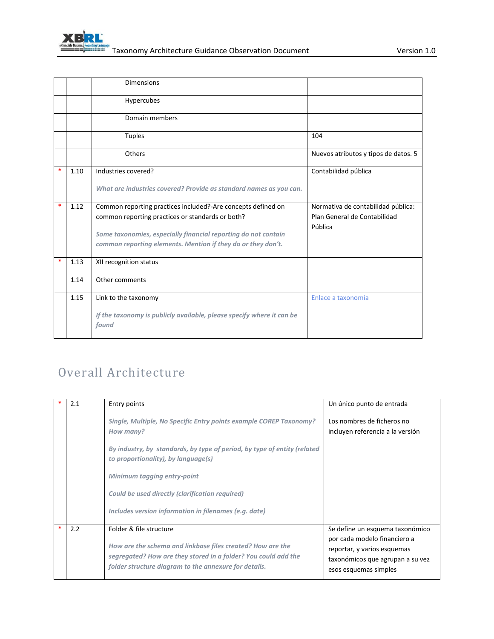

|        |      | <b>Dimensions</b>                                                              |                                      |
|--------|------|--------------------------------------------------------------------------------|--------------------------------------|
|        |      | Hypercubes                                                                     |                                      |
|        |      | Domain members                                                                 |                                      |
|        |      | <b>Tuples</b>                                                                  | 104                                  |
|        |      | Others                                                                         | Nuevos atributos y tipos de datos. 5 |
| $\ast$ | 1.10 | Industries covered?                                                            | Contabilidad pública                 |
|        |      | What are industries covered? Provide as standard names as you can.             |                                      |
| $\ast$ | 1.12 | Common reporting practices included?-Are concepts defined on                   | Normativa de contabilidad pública:   |
|        |      | common reporting practices or standards or both?                               | Plan General de Contabilidad         |
|        |      |                                                                                | Pública                              |
|        |      | Some taxonomies, especially financial reporting do not contain                 |                                      |
|        |      | common reporting elements. Mention if they do or they don't.                   |                                      |
| $\ast$ | 1.13 | XII recognition status                                                         |                                      |
|        | 1.14 | Other comments                                                                 |                                      |
|        | 1.15 | Link to the taxonomy                                                           | Enlace a taxonomía                   |
|        |      | If the taxonomy is publicly available, please specify where it can be<br>found |                                      |

# Overall Architecture

| 2.1 | Entry points                                                                                                                                                                                                     | Un único punto de entrada                                                                                                                                   |
|-----|------------------------------------------------------------------------------------------------------------------------------------------------------------------------------------------------------------------|-------------------------------------------------------------------------------------------------------------------------------------------------------------|
|     | Single, Multiple, No Specific Entry points example COREP Taxonomy?<br>How many?                                                                                                                                  | Los nombres de ficheros no<br>incluyen referencia a la versión                                                                                              |
|     | By industry, by standards, by type of period, by type of entity (related<br>to proportionality), by language(s)                                                                                                  |                                                                                                                                                             |
|     | Minimum tagging entry-point                                                                                                                                                                                      |                                                                                                                                                             |
|     | Could be used directly (clarification required)                                                                                                                                                                  |                                                                                                                                                             |
|     | Includes version information in filenames (e.g. date)                                                                                                                                                            |                                                                                                                                                             |
| 2.2 | Folder & file structure<br>How are the schema and linkbase files created? How are the<br>segregated? How are they stored in a folder? You could add the<br>folder structure diagram to the annexure for details. | Se define un esquema taxonómico<br>por cada modelo financiero a<br>reportar, y varios esquemas<br>taxonómicos que agrupan a su vez<br>esos esquemas simples |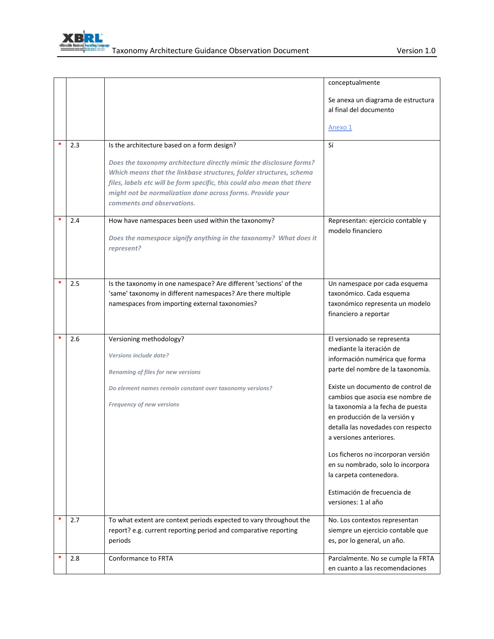<span id="page-4-0"></span>

|        |     |                                                                                                                                                                                                                                                                                                                    | conceptualmente                                                                                    |
|--------|-----|--------------------------------------------------------------------------------------------------------------------------------------------------------------------------------------------------------------------------------------------------------------------------------------------------------------------|----------------------------------------------------------------------------------------------------|
|        |     |                                                                                                                                                                                                                                                                                                                    | Se anexa un diagrama de estructura<br>al final del documento                                       |
|        |     |                                                                                                                                                                                                                                                                                                                    | Anexo 1                                                                                            |
|        | 2.3 | Is the architecture based on a form design?                                                                                                                                                                                                                                                                        | Sí                                                                                                 |
|        |     | Does the taxonomy architecture directly mimic the disclosure forms?<br>Which means that the linkbase structures, folder structures, schema<br>files, labels etc will be form specific, this could also mean that there<br>might not be normalization done across forms. Provide your<br>comments and observations. |                                                                                                    |
| $\ast$ | 2.4 | How have namespaces been used within the taxonomy?                                                                                                                                                                                                                                                                 | Representan: ejercicio contable y                                                                  |
|        |     | Does the namespace signify anything in the taxonomy? What does it<br>represent?                                                                                                                                                                                                                                    | modelo financiero                                                                                  |
| *      | 2.5 | Is the taxonomy in one namespace? Are different 'sections' of the                                                                                                                                                                                                                                                  | Un namespace por cada esquema                                                                      |
|        |     | 'same' taxonomy in different namespaces? Are there multiple<br>namespaces from importing external taxonomies?                                                                                                                                                                                                      | taxonómico. Cada esquema<br>taxonómico representa un modelo                                        |
|        |     |                                                                                                                                                                                                                                                                                                                    | financiero a reportar                                                                              |
| *      | 2.6 | Versioning methodology?                                                                                                                                                                                                                                                                                            | El versionado se representa                                                                        |
|        |     | Versions include date?                                                                                                                                                                                                                                                                                             | mediante la iteración de<br>información numérica que forma                                         |
|        |     | Renaming of files for new versions                                                                                                                                                                                                                                                                                 | parte del nombre de la taxonomía.                                                                  |
|        |     | Do element names remain constant over taxonomy versions?                                                                                                                                                                                                                                                           | Existe un documento de control de                                                                  |
|        |     | Frequency of new versions                                                                                                                                                                                                                                                                                          | cambios que asocia ese nombre de<br>la taxonomía a la fecha de puesta                              |
|        |     |                                                                                                                                                                                                                                                                                                                    | en producción de la versión y                                                                      |
|        |     |                                                                                                                                                                                                                                                                                                                    | detalla las novedades con respecto<br>a versiones anteriores.                                      |
|        |     |                                                                                                                                                                                                                                                                                                                    | Los ficheros no incorporan versión<br>en su nombrado, solo lo incorpora<br>la carpeta contenedora. |
|        |     |                                                                                                                                                                                                                                                                                                                    | Estimación de frecuencia de<br>versiones: 1 al año                                                 |
| *      | 2.7 | To what extent are context periods expected to vary throughout the                                                                                                                                                                                                                                                 | No. Los contextos representan                                                                      |
|        |     | report? e.g. current reporting period and comparative reporting<br>periods                                                                                                                                                                                                                                         | siempre un ejercicio contable que<br>es, por lo general, un año.                                   |
|        | 2.8 | Conformance to FRTA                                                                                                                                                                                                                                                                                                | Parcialmente. No se cumple la FRTA<br>en cuanto a las recomendaciones                              |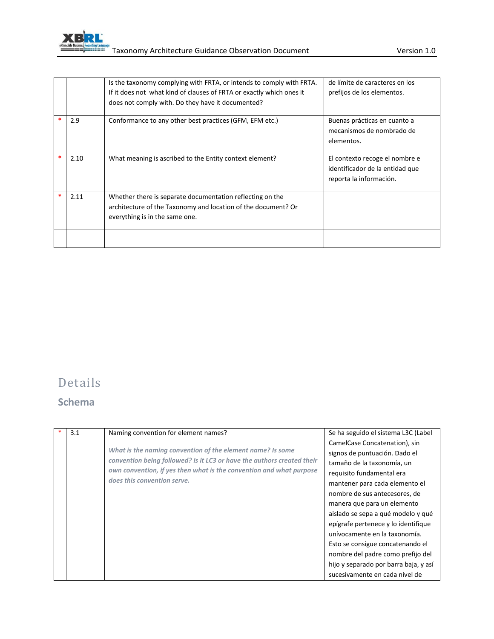

|      | Is the taxonomy complying with FRTA, or intends to comply with FRTA. | de límite de caracteres en los  |
|------|----------------------------------------------------------------------|---------------------------------|
|      | If it does not what kind of clauses of FRTA or exactly which ones it | prefijos de los elementos.      |
|      | does not comply with. Do they have it documented?                    |                                 |
| 2.9  | Conformance to any other best practices (GFM, EFM etc.)              | Buenas prácticas en cuanto a    |
|      |                                                                      | mecanismos de nombrado de       |
|      |                                                                      | elementos.                      |
|      |                                                                      |                                 |
| 2.10 | What meaning is ascribed to the Entity context element?              | El contexto recoge el nombre e  |
|      |                                                                      | identificador de la entidad que |
|      |                                                                      | reporta la información.         |
|      |                                                                      |                                 |
| 2.11 | Whether there is separate documentation reflecting on the            |                                 |
|      | architecture of the Taxonomy and location of the document? Or        |                                 |
|      | everything is in the same one.                                       |                                 |
|      |                                                                      |                                 |
|      |                                                                      |                                 |
|      |                                                                      |                                 |

## Details

### **Schema**

| 3.1 | Naming convention for element names?                                                                                                                                                                                                       | Se ha seguido el sistema L3C (Label                                                                                                                                                                                                                               |
|-----|--------------------------------------------------------------------------------------------------------------------------------------------------------------------------------------------------------------------------------------------|-------------------------------------------------------------------------------------------------------------------------------------------------------------------------------------------------------------------------------------------------------------------|
|     | What is the naming convention of the element name? Is some<br>convention being followed? Is it LC3 or have the authors created their<br>own convention, if yes then what is the convention and what purpose<br>does this convention serve. | CamelCase Concatenation), sin<br>signos de puntuación. Dado el<br>tamaño de la taxonomía, un<br>requisito fundamental era<br>mantener para cada elemento el<br>nombre de sus antecesores, de<br>manera que para un elemento<br>aislado se sepa a qué modelo y qué |
|     |                                                                                                                                                                                                                                            | epígrafe pertenece y lo identifique<br>unívocamente en la taxonomía.<br>Esto se consigue concatenando el<br>nombre del padre como prefijo del<br>hijo y separado por barra baja, y así<br>sucesivamente en cada nivel de                                          |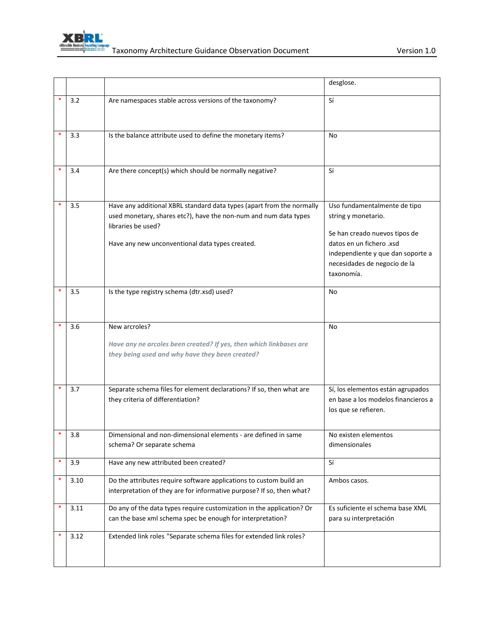

|        |      |                                                                                                                                                                                                                    | desglose.                                                                                                                                                                                           |
|--------|------|--------------------------------------------------------------------------------------------------------------------------------------------------------------------------------------------------------------------|-----------------------------------------------------------------------------------------------------------------------------------------------------------------------------------------------------|
|        | 3.2  | Are namespaces stable across versions of the taxonomy?                                                                                                                                                             | Sí                                                                                                                                                                                                  |
|        | 3.3  | Is the balance attribute used to define the monetary items?                                                                                                                                                        | No                                                                                                                                                                                                  |
|        | 3.4  | Are there concept(s) which should be normally negative?                                                                                                                                                            | Sí                                                                                                                                                                                                  |
|        | 3.5  | Have any additional XBRL standard data types (apart from the normally<br>used monetary, shares etc?), have the non-num and num data types<br>libraries be used?<br>Have any new unconventional data types created. | Uso fundamentalmente de tipo<br>string y monetario.<br>Se han creado nuevos tipos de<br>datos en un fichero .xsd<br>independiente y que dan soporte a<br>necesidades de negocio de la<br>taxonomía. |
|        | 3.5  | Is the type registry schema (dtr.xsd) used?                                                                                                                                                                        | No                                                                                                                                                                                                  |
|        | 3.6  | New arcroles?<br>Have any ne arcoles been created? If yes, then which linkbases are<br>they being used and why have they been created?                                                                             | No                                                                                                                                                                                                  |
|        | 3.7  | Separate schema files for element declarations? If so, then what are<br>they criteria of differentiation?                                                                                                          | Sí, los elementos están agrupados<br>en base a los modelos financieros a<br>los que se refieren.                                                                                                    |
|        | 3.8  | Dimensional and non-dimensional elements - are defined in same<br>schema? Or separate schema                                                                                                                       | No existen elementos<br>dimensionales                                                                                                                                                               |
| $\ast$ | 3.9  | Have any new attributed been created?                                                                                                                                                                              | Sí                                                                                                                                                                                                  |
| $\ast$ | 3.10 | Do the attributes require software applications to custom build an<br>interpretation of they are for informative purpose? If so, then what?                                                                        | Ambos casos.                                                                                                                                                                                        |
| $\ast$ | 3.11 | Do any of the data types require customization in the application? Or<br>can the base xml schema spec be enough for interpretation?                                                                                | Es suficiente el schema base XML<br>para su interpretación                                                                                                                                          |
| $\ast$ | 3.12 | Extended link roles "Separate schema files for extended link roles?                                                                                                                                                |                                                                                                                                                                                                     |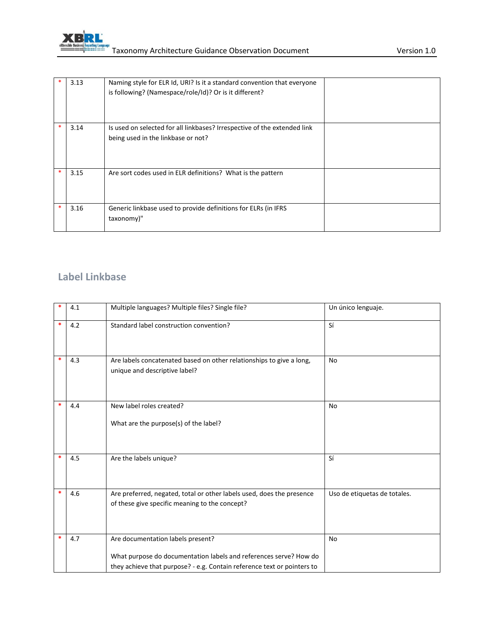

|        | 3.13 | Naming style for ELR Id, URI? Is it a standard convention that everyone<br>is following? (Namespace/role/Id)? Or is it different? |  |
|--------|------|-----------------------------------------------------------------------------------------------------------------------------------|--|
| *      | 3.14 | Is used on selected for all linkbases? Irrespective of the extended link<br>being used in the linkbase or not?                    |  |
| $\ast$ | 3.15 | Are sort codes used in ELR definitions? What is the pattern                                                                       |  |
| $\ast$ | 3.16 | Generic linkbase used to provide definitions for ELRs (in IFRS<br>taxonomy)"                                                      |  |

#### **Label Linkbase**

| *      | 4.1 | Multiple languages? Multiple files? Single file?                                                                                                                                  | Un único lenguaje.           |
|--------|-----|-----------------------------------------------------------------------------------------------------------------------------------------------------------------------------------|------------------------------|
| $\ast$ | 4.2 | Standard label construction convention?                                                                                                                                           | Sí                           |
| $\ast$ | 4.3 | Are labels concatenated based on other relationships to give a long,<br>unique and descriptive label?                                                                             | <b>No</b>                    |
| *      | 4.4 | New label roles created?<br>What are the purpose(s) of the label?                                                                                                                 | <b>No</b>                    |
| ∗      | 4.5 | Are the labels unique?                                                                                                                                                            | Sí                           |
| $\ast$ | 4.6 | Are preferred, negated, total or other labels used, does the presence<br>of these give specific meaning to the concept?                                                           | Uso de etiquetas de totales. |
| $\ast$ | 4.7 | Are documentation labels present?<br>What purpose do documentation labels and references serve? How do<br>they achieve that purpose? - e.g. Contain reference text or pointers to | <b>No</b>                    |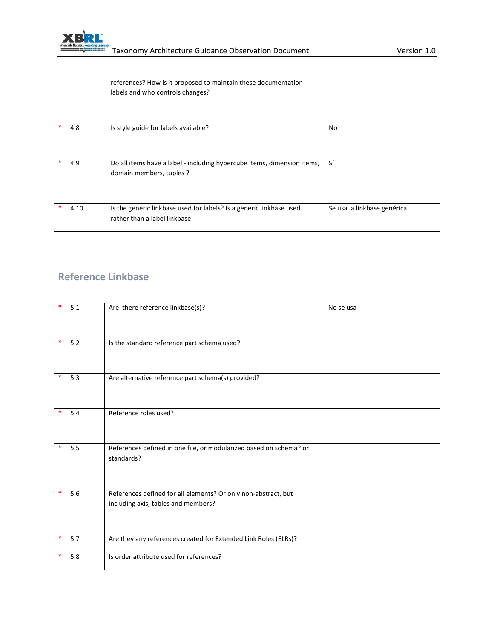

|   |      | references? How is it proposed to maintain these documentation<br>labels and who controls changes?  |                              |
|---|------|-----------------------------------------------------------------------------------------------------|------------------------------|
|   | 4.8  | Is style guide for labels available?                                                                | No                           |
|   | 4.9  | Do all items have a label - including hypercube items, dimension items,<br>domain members, tuples ? | Sí                           |
| * | 4.10 | Is the generic linkbase used for labels? Is a generic linkbase used<br>rather than a label linkbase | Se usa la linkbase genérica. |

#### **Reference Linkbase**

| *      | 5.1 | Are there reference linkbase(s)?                                                                      | No se usa |
|--------|-----|-------------------------------------------------------------------------------------------------------|-----------|
| $\ast$ | 5.2 | Is the standard reference part schema used?                                                           |           |
| $\ast$ | 5.3 | Are alternative reference part schema(s) provided?                                                    |           |
| *      | 5.4 | Reference roles used?                                                                                 |           |
| $\ast$ | 5.5 | References defined in one file, or modularized based on schema? or<br>standards?                      |           |
| $\ast$ | 5.6 | References defined for all elements? Or only non-abstract, but<br>including axis, tables and members? |           |
| $\ast$ | 5.7 | Are they any references created for Extended Link Roles (ELRs)?                                       |           |
| *      | 5.8 | Is order attribute used for references?                                                               |           |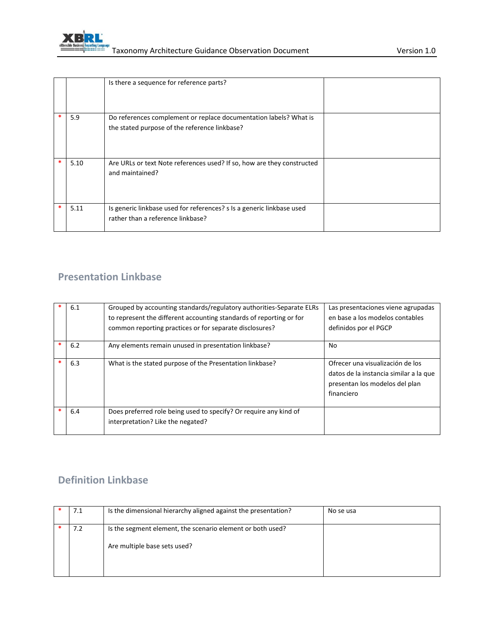

|      | Is there a sequence for reference parts?                                                                           |  |
|------|--------------------------------------------------------------------------------------------------------------------|--|
| 5.9  | Do references complement or replace documentation labels? What is<br>the stated purpose of the reference linkbase? |  |
| 5.10 | Are URLs or text Note references used? If so, how are they constructed<br>and maintained?                          |  |
| 5.11 | Is generic linkbase used for references? s Is a generic linkbase used<br>rather than a reference linkbase?         |  |

#### **Presentation Linkbase**

| 6.1 | Grouped by accounting standards/regulatory authorities-Separate ELRs<br>to represent the different accounting standards of reporting or for<br>common reporting practices or for separate disclosures? | Las presentaciones viene agrupadas<br>en base a los modelos contables<br>definidos por el PGCP                             |
|-----|--------------------------------------------------------------------------------------------------------------------------------------------------------------------------------------------------------|----------------------------------------------------------------------------------------------------------------------------|
| 6.2 | Any elements remain unused in presentation linkbase?                                                                                                                                                   | No                                                                                                                         |
| 6.3 | What is the stated purpose of the Presentation linkbase?                                                                                                                                               | Ofrecer una visualización de los<br>datos de la instancia similar a la que<br>presentan los modelos del plan<br>financiero |
| 6.4 | Does preferred role being used to specify? Or require any kind of<br>interpretation? Like the negated?                                                                                                 |                                                                                                                            |

### **Definition Linkbase**

| 7.1 | Is the dimensional hierarchy aligned against the presentation?                             | No se usa |
|-----|--------------------------------------------------------------------------------------------|-----------|
| 7.2 | Is the segment element, the scenario element or both used?<br>Are multiple base sets used? |           |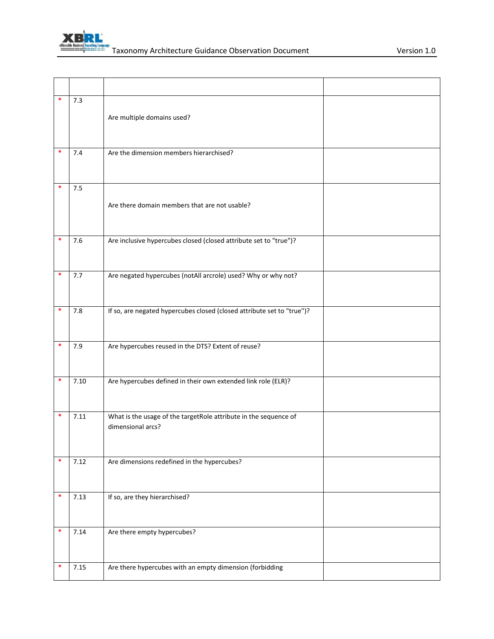

| *      | 7.3  | Are multiple domains used?                                                            |  |
|--------|------|---------------------------------------------------------------------------------------|--|
| *      | 7.4  | Are the dimension members hierarchised?                                               |  |
| $\ast$ | 7.5  | Are there domain members that are not usable?                                         |  |
| $\ast$ | 7.6  | Are inclusive hypercubes closed (closed attribute set to "true")?                     |  |
| ∗      | 7.7  | Are negated hypercubes (notAll arcrole) used? Why or why not?                         |  |
|        | 7.8  | If so, are negated hypercubes closed (closed attribute set to "true")?                |  |
| ∗      | 7.9  | Are hypercubes reused in the DTS? Extent of reuse?                                    |  |
| *      | 7.10 | Are hypercubes defined in their own extended link role (ELR)?                         |  |
| ∗      | 7.11 | What is the usage of the targetRole attribute in the sequence of<br>dimensional arcs? |  |
| *      | 7.12 | Are dimensions redefined in the hypercubes?                                           |  |
| *      | 7.13 | If so, are they hierarchised?                                                         |  |
| *      | 7.14 | Are there empty hypercubes?                                                           |  |
| *      | 7.15 | Are there hypercubes with an empty dimension (forbidding                              |  |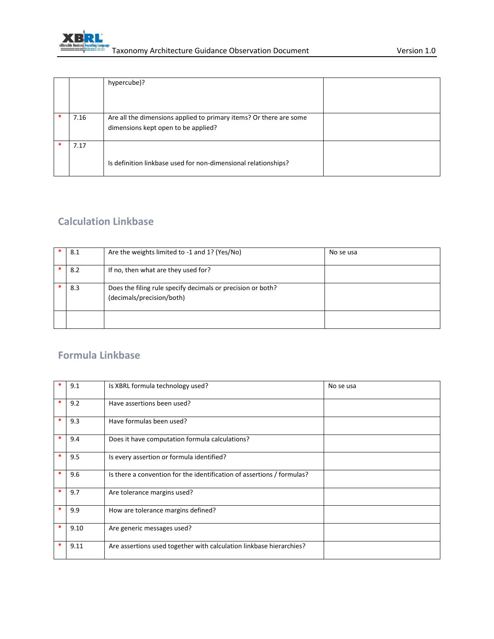

|      | hypercube)?                                                        |  |
|------|--------------------------------------------------------------------|--|
|      |                                                                    |  |
|      |                                                                    |  |
| 7.16 | Are all the dimensions applied to primary items? Or there are some |  |
|      | dimensions kept open to be applied?                                |  |
|      |                                                                    |  |
| 7.17 |                                                                    |  |
|      |                                                                    |  |
|      | Is definition linkbase used for non-dimensional relationships?     |  |
|      |                                                                    |  |

### **Calculation Linkbase**

| 8.1 | Are the weights limited to -1 and 1? (Yes/No)                                            | No se usa |
|-----|------------------------------------------------------------------------------------------|-----------|
| 8.2 | If no, then what are they used for?                                                      |           |
| 8.3 | Does the filing rule specify decimals or precision or both?<br>(decimals/precision/both) |           |
|     |                                                                                          |           |

#### **Formula Linkbase**

|        | 9.1  | Is XBRL formula technology used?                                       | No se usa |
|--------|------|------------------------------------------------------------------------|-----------|
| $\ast$ | 9.2  | Have assertions been used?                                             |           |
|        | 9.3  | Have formulas been used?                                               |           |
| *      | 9.4  | Does it have computation formula calculations?                         |           |
| *      | 9.5  | Is every assertion or formula identified?                              |           |
| *      | 9.6  | Is there a convention for the identification of assertions / formulas? |           |
|        | 9.7  | Are tolerance margins used?                                            |           |
| *      | 9.9  | How are tolerance margins defined?                                     |           |
| *      | 9.10 | Are generic messages used?                                             |           |
|        | 9.11 | Are assertions used together with calculation linkbase hierarchies?    |           |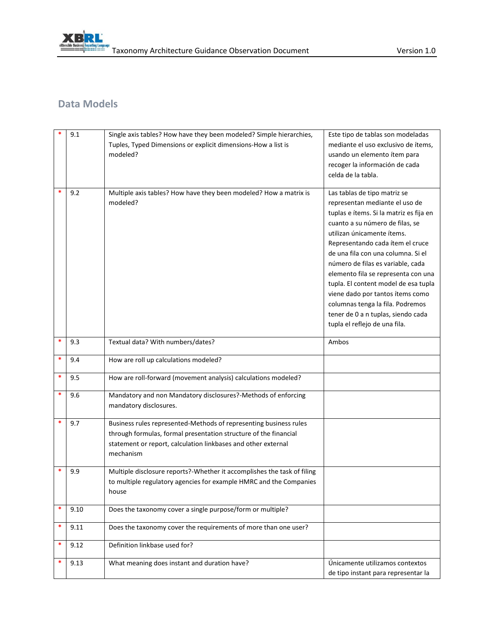

### **Data Models**

|   | 9.1  | Single axis tables? How have they been modeled? Simple hierarchies,     | Este tipo de tablas son modeladas                                      |
|---|------|-------------------------------------------------------------------------|------------------------------------------------------------------------|
|   |      | Tuples, Typed Dimensions or explicit dimensions-How a list is           | mediante el uso exclusivo de ítems,                                    |
|   |      | modeled?                                                                | usando un elemento ítem para                                           |
|   |      |                                                                         | recoger la información de cada                                         |
|   |      |                                                                         | celda de la tabla.                                                     |
|   |      |                                                                         |                                                                        |
|   | 9.2  | Multiple axis tables? How have they been modeled? How a matrix is       | Las tablas de tipo matriz se                                           |
|   |      | modeled?                                                                | representan mediante el uso de                                         |
|   |      |                                                                         | tuplas e ítems. Si la matriz es fija en                                |
|   |      |                                                                         | cuanto a su número de filas, se                                        |
|   |      |                                                                         | utilizan únicamente ítems.                                             |
|   |      |                                                                         | Representando cada ítem el cruce<br>de una fila con una columna. Si el |
|   |      |                                                                         | número de filas es variable, cada                                      |
|   |      |                                                                         | elemento fila se representa con una                                    |
|   |      |                                                                         | tupla. El content model de esa tupla                                   |
|   |      |                                                                         | viene dado por tantos ítems como                                       |
|   |      |                                                                         | columnas tenga la fila. Podremos                                       |
|   |      |                                                                         | tener de 0 a n tuplas, siendo cada                                     |
|   |      |                                                                         | tupla el reflejo de una fila.                                          |
|   |      |                                                                         |                                                                        |
| * | 9.3  | Textual data? With numbers/dates?                                       | Ambos                                                                  |
| * | 9.4  | How are roll up calculations modeled?                                   |                                                                        |
| * | 9.5  | How are roll-forward (movement analysis) calculations modeled?          |                                                                        |
| * | 9.6  | Mandatory and non Mandatory disclosures?-Methods of enforcing           |                                                                        |
|   |      | mandatory disclosures.                                                  |                                                                        |
|   |      |                                                                         |                                                                        |
| * | 9.7  | Business rules represented-Methods of representing business rules       |                                                                        |
|   |      | through formulas, formal presentation structure of the financial        |                                                                        |
|   |      | statement or report, calculation linkbases and other external           |                                                                        |
|   |      | mechanism                                                               |                                                                        |
|   | 9.9  | Multiple disclosure reports?-Whether it accomplishes the task of filing |                                                                        |
|   |      | to multiple regulatory agencies for example HMRC and the Companies      |                                                                        |
|   |      | nouse                                                                   |                                                                        |
|   |      |                                                                         |                                                                        |
| * | 9.10 | Does the taxonomy cover a single purpose/form or multiple?              |                                                                        |
| * | 9.11 | Does the taxonomy cover the requirements of more than one user?         |                                                                        |
| * | 9.12 | Definition linkbase used for?                                           |                                                                        |
| * | 9.13 | What meaning does instant and duration have?                            | Únicamente utilizamos contextos                                        |
|   |      |                                                                         | de tipo instant para representar la                                    |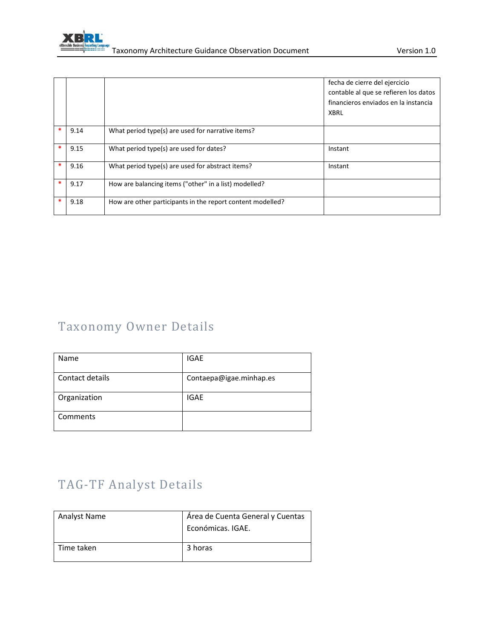

|        |      |                                                            | fecha de cierre del ejercicio<br>contable al que se refieren los datos<br>financieros enviados en la instancia<br>XBRL |
|--------|------|------------------------------------------------------------|------------------------------------------------------------------------------------------------------------------------|
| $\ast$ | 9.14 | What period type(s) are used for narrative items?          |                                                                                                                        |
| *      | 9.15 | What period type(s) are used for dates?                    | Instant                                                                                                                |
| *      | 9.16 | What period type(s) are used for abstract items?           | Instant                                                                                                                |
| *      | 9.17 | How are balancing items ("other" in a list) modelled?      |                                                                                                                        |
| $\ast$ | 9.18 | How are other participants in the report content modelled? |                                                                                                                        |

# Taxonomy Owner Details

| Name            | <b>IGAE</b>             |
|-----------------|-------------------------|
| Contact details | Contaepa@igae.minhap.es |
| Organization    | <b>IGAE</b>             |
| Comments        |                         |

# TAG-TF Analyst Details

| <b>Analyst Name</b> | Área de Cuenta General y Cuentas<br>Económicas. IGAE. |
|---------------------|-------------------------------------------------------|
| Time taken          | 3 horas                                               |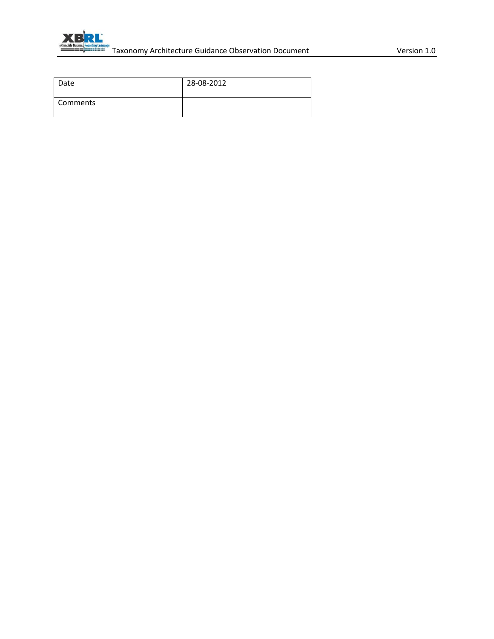

| Date       | 28-08-2012 |
|------------|------------|
| l Comments |            |